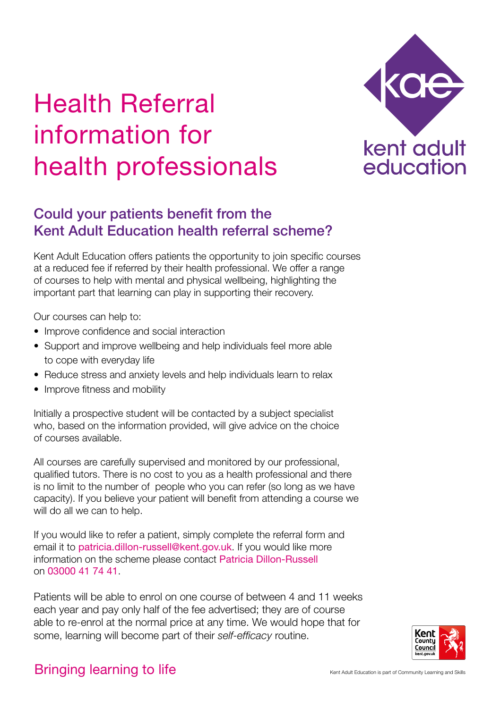## Health Referral information for health professionals



## Could your patients benefit from the Kent Adult Education health referral scheme?

Kent Adult Education offers patients the opportunity to join specifc courses at a reduced fee if referred by their health professional. We offer a range of courses to help with mental and physical wellbeing, highlighting the important part that learning can play in supporting their recovery.

Our courses can help to:

- Improve confidence and social interaction
- • Support and improve wellbeing and help individuals feel more able to cope with everyday life
- Reduce stress and anxiety levels and help individuals learn to relax
- Improve fitness and mobility

Initially a prospective student will be contacted by a subject specialist who, based on the information provided, will give advice on the choice of courses available.

All courses are carefully supervised and monitored by our professional, qualifed tutors. There is no cost to you as a health professional and there is no limit to the number of people who you can refer (so long as we have capacity). If you believe your patient will beneft from attending a course we will do all we can to help.

If you would like to refer a patient, simply complete the referral form and email it to [patricia.dillon-russell@kent.gov.uk](mailto:patricia.dillon-russell%40kent.gov.uk?subject=). If you would like more information on the scheme please contact Patricia Dillon-Russell on 03000 41 74 41.

Patients will be able to enrol on one course of between 4 and 11 weeks each year and pay only half of the fee advertised; they are of course able to re-enrol at the normal price at any time. We would hope that for some, learning will become part of their *self-effcacy* routine.



## Bringing learning to life Kent Adult Education is part of Community Learning and Skills